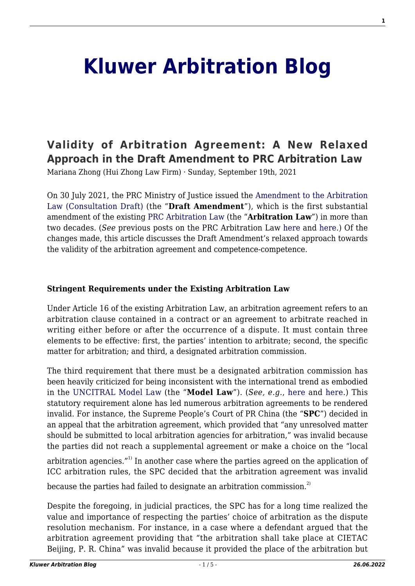# **[Kluwer Arbitration Blog](http://arbitrationblog.kluwerarbitration.com/)**

# **[Validity of Arbitration Agreement: A New Relaxed](http://arbitrationblog.kluwerarbitration.com/2021/09/19/validity-of-arbitration-agreement-a-new-relaxed-approach-in-the-draft-amendment-to-prc-arbitration-law/) [Approach in the Draft Amendment to PRC Arbitration Law](http://arbitrationblog.kluwerarbitration.com/2021/09/19/validity-of-arbitration-agreement-a-new-relaxed-approach-in-the-draft-amendment-to-prc-arbitration-law/)**

Mariana Zhong (Hui Zhong Law Firm) · Sunday, September 19th, 2021

On 30 July 2021, the PRC Ministry of Justice issued the [Amendment to the Arbitration](http://www.moj.gov.cn/pub/sfbgw/zlk/202107/t20210730_432958.html) [Law \(Consultation Draft\)](http://www.moj.gov.cn/pub/sfbgw/zlk/202107/t20210730_432958.html) (the "**Draft Amendment**"), which is the first substantial amendment of the existing [PRC Arbitration Law](https://www.lawinfochina.com/display.aspx?id=23925&lib=law) (the "**Arbitration Law**") in more than two decades. (*See* previous posts on the PRC Arbitration Law [here](http://arbitrationblog.kluwerarbitration.com/2021/09/09/proposed-amendments-to-the-prc-arbitration-law-a-panacea/) and [here.](http://arbitrationblog.kluwerarbitration.com/2020/07/31/how-the-arbitration-law-of-the-peoples-republic-of-china-should-be-modernised/)) Of the changes made, this article discusses the Draft Amendment's relaxed approach towards the validity of the arbitration agreement and competence-competence.

#### **Stringent Requirements under the Existing Arbitration Law**

Under Article 16 of the existing Arbitration Law, an arbitration agreement refers to an arbitration clause contained in a contract or an agreement to arbitrate reached in writing either before or after the occurrence of a dispute. It must contain three elements to be effective: first, the parties' intention to arbitrate; second, the specific matter for arbitration; and third, a designated arbitration commission.

The third requirement that there must be a designated arbitration commission has been heavily criticized for being inconsistent with the international trend as embodied in the [UNCITRAL Model Law](https://uncitral.un.org/sites/uncitral.un.org/files/media-documents/uncitral/en/19-09955_e_ebook.pdf) (the "**Model Law**"). (*See, e.g*., [here](http://arbitrationblog.kluwerarbitration.com/2015/09/09/chinese-law-or-no-law-the-lex-arbitri-for-arbitrations-conducted-by-overseas-arbitration-institutions-in-mainland-china/) and [here](https://doi.org/10.1093/arbitration/23.2.309).) This statutory requirement alone has led numerous arbitration agreements to be rendered invalid. For instance, the Supreme People's Court of PR China (the "**SPC**") decided in an appeal that the arbitration agreement, which provided that "any unresolved matter should be submitted to local arbitration agencies for arbitration," was invalid because the parties did not reach a supplemental agreement or make a choice on the "local

arbitration agencies."<sup>1)</sup> In another case where the parties agreed on the application of ICC arbitration rules, the SPC decided that the arbitration agreement was invalid because the parties had failed to designate an arbitration commission.<sup>2)</sup>

Despite the foregoing, in judicial practices, the SPC has for a long time realized the value and importance of respecting the parties' choice of arbitration as the dispute resolution mechanism. For instance, in a case where a defendant argued that the arbitration agreement providing that "the arbitration shall take place at CIETAC Beijing, P. R. China" was invalid because it provided the place of the arbitration but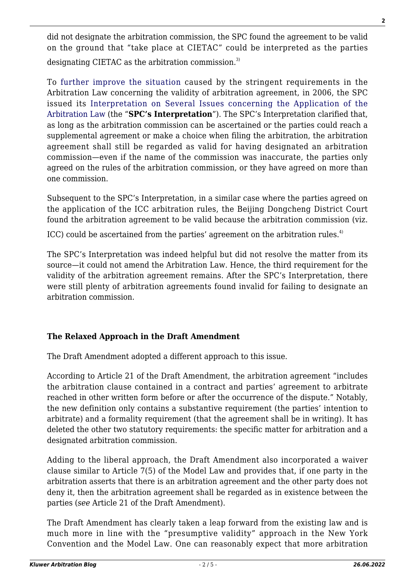did not designate the arbitration commission, the SPC found the agreement to be valid on the ground that "take place at CIETAC" could be interpreted as the parties designating CIETAC as the arbitration commission.<sup>3)</sup>

To [further improve the situation](http://arbitrationblog.kluwerarbitration.com/2020/07/31/how-the-arbitration-law-of-the-peoples-republic-of-china-should-be-modernised/) caused by the stringent requirements in the Arbitration Law concerning the validity of arbitration agreement, in 2006, the SPC issued its [Interpretation on Several Issues concerning the Application of the](https://www.pkulaw.com/en_law/c0d4cb469028a461bdfb.html) [Arbitration Law](https://www.pkulaw.com/en_law/c0d4cb469028a461bdfb.html) (the "**SPC's Interpretation**"). The SPC's Interpretation clarified that, as long as the arbitration commission can be ascertained or the parties could reach a supplemental agreement or make a choice when filing the arbitration, the arbitration agreement shall still be regarded as valid for having designated an arbitration commission—even if the name of the commission was inaccurate, the parties only agreed on the rules of the arbitration commission, or they have agreed on more than one commission.

Subsequent to the SPC's Interpretation, in a similar case where the parties agreed on the application of the ICC arbitration rules, the Beijing Dongcheng District Court found the arbitration agreement to be valid because the arbitration commission (viz.

ICC) could be ascertained from the parties' agreement on the arbitration rules.<sup>4)</sup>

The SPC's Interpretation was indeed helpful but did not resolve the matter from its source—it could not amend the Arbitration Law. Hence, the third requirement for the validity of the arbitration agreement remains. After the SPC's Interpretation, there were still plenty of arbitration agreements found invalid for failing to designate an arbitration commission.

# **The Relaxed Approach in the Draft Amendment**

The Draft Amendment adopted a different approach to this issue.

According to Article 21 of the Draft Amendment, the arbitration agreement "includes the arbitration clause contained in a contract and parties' agreement to arbitrate reached in other written form before or after the occurrence of the dispute." Notably, the new definition only contains a substantive requirement (the parties' intention to arbitrate) and a formality requirement (that the agreement shall be in writing). It has deleted the other two statutory requirements: the specific matter for arbitration and a designated arbitration commission.

Adding to the liberal approach, the Draft Amendment also incorporated a waiver clause similar to Article 7(5) of the Model Law and provides that, if one party in the arbitration asserts that there is an arbitration agreement and the other party does not deny it, then the arbitration agreement shall be regarded as in existence between the parties (*see* Article 21 of the Draft Amendment).

The Draft Amendment has clearly taken a leap forward from the existing law and is much more in line with the "presumptive validity" approach in the New York Convention and the Model Law. One can reasonably expect that more arbitration

**2**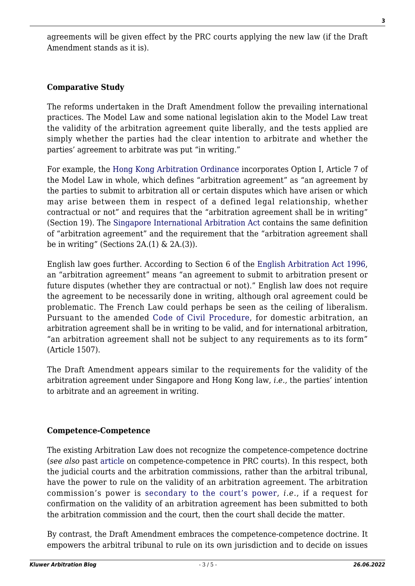agreements will be given effect by the PRC courts applying the new law (if the Draft Amendment stands as it is).

# **Comparative Study**

The reforms undertaken in the Draft Amendment follow the prevailing international practices. The Model Law and some national legislation akin to the Model Law treat the validity of the arbitration agreement quite liberally, and the tests applied are simply whether the parties had the clear intention to arbitrate and whether the parties' agreement to arbitrate was put "in writing."

For example, the [Hong Kong Arbitration Ordinance](https://www.elegislation.gov.hk/hk/cap609) incorporates Option I, Article 7 of the Model Law in whole, which defines "arbitration agreement" as "an agreement by the parties to submit to arbitration all or certain disputes which have arisen or which may arise between them in respect of a defined legal relationship, whether contractual or not" and requires that the "arbitration agreement shall be in writing" (Section 19). The [Singapore International Arbitration Act](https://sso.agc.gov.sg/Act/IAA1994) contains the same definition of "arbitration agreement" and the requirement that the "arbitration agreement shall be in writing" (Sections  $2A(1)$  &  $2A(3)$ ).

English law goes further. According to Section 6 of the [English Arbitration Act 1996](https://www.legislation.gov.uk/ukpga/1996/23/section/6), an "arbitration agreement" means "an agreement to submit to arbitration present or future disputes (whether they are contractual or not)." English law does not require the agreement to be necessarily done in writing, although oral agreement could be problematic. The French Law could perhaps be seen as the ceiling of liberalism. Pursuant to the amended [Code of Civil Procedure](http://parisarbitration.com/wp-content/uploads/2017/02/EN-French-Law-on-Arbitration.pdf), for domestic arbitration, an arbitration agreement shall be in writing to be valid, and for international arbitration, "an arbitration agreement shall not be subject to any requirements as to its form" (Article 1507).

The Draft Amendment appears similar to the requirements for the validity of the arbitration agreement under Singapore and Hong Kong law, *i.e.,* the parties' intention to arbitrate and an agreement in writing.

# **Competence-Competence**

The existing Arbitration Law does not recognize the competence-competence doctrine (*see also* past [article](http://arbitrationblog.kluwerarbitration.com/2019/04/08/uncertainty-in-how-prc-courts-deal-with-challenges-to-validity-of-arbitration-agreements/) on competence-competence in PRC courts). In this respect, both the judicial courts and the arbitration commissions, rather than the arbitral tribunal, have the power to rule on the validity of an arbitration agreement. The arbitration commission's power is [secondary to the court's power,](http://arbitrationblog.kluwerarbitration.com/2021/06/21/judicial-review-of-arbitration-agreements-in-pr-china/) *i.e*., if a request for confirmation on the validity of an arbitration agreement has been submitted to both the arbitration commission and the court, then the court shall decide the matter.

By contrast, the Draft Amendment embraces the competence-competence doctrine. It empowers the arbitral tribunal to rule on its own jurisdiction and to decide on issues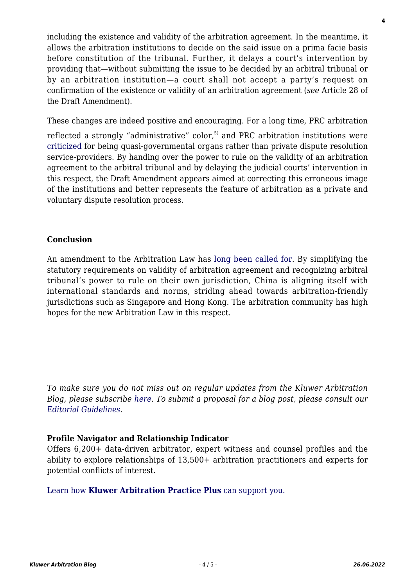including the existence and validity of the arbitration agreement. In the meantime, it allows the arbitration institutions to decide on the said issue on a prima facie basis before constitution of the tribunal. Further, it delays a court's intervention by providing that—without submitting the issue to be decided by an arbitral tribunal or by an arbitration institution—a court shall not accept a party's request on confirmation of the existence or validity of an arbitration agreement (*see* Article 28 of the Draft Amendment).

These changes are indeed positive and encouraging. For a long time, PRC arbitration

reflected a strongly "administrative" color,<sup>5)</sup> and PRC arbitration institutions were [criticized](https://www.ibanet.org/article/6F9D7812-7A71-4274-88B4-5E3EB628515F) for being quasi-governmental organs rather than private dispute resolution service-providers. By handing over the power to rule on the validity of an arbitration agreement to the arbitral tribunal and by delaying the judicial courts' intervention in this respect, the Draft Amendment appears aimed at correcting this erroneous image of the institutions and better represents the feature of arbitration as a private and voluntary dispute resolution process.

### **Conclusion**

An amendment to the Arbitration Law has [long been called for](http://arbitrationblog.kluwerarbitration.com/2020/09/24/opening-of-mainland-china-arbitration-market-to-foreign-institutions-is-it-happening-really/). By simplifying the statutory requirements on validity of arbitration agreement and recognizing arbitral tribunal's power to rule on their own jurisdiction, China is aligning itself with international standards and norms, striding ahead towards arbitration-friendly jurisdictions such as Singapore and Hong Kong. The arbitration community has high hopes for the new Arbitration Law in this respect.

### **Profile Navigator and Relationship Indicator**

[Learn how](https://www.wolterskluwer.com/en/solutions/kluwerarbitration/practiceplus?utm_source=arbitrationblog&utm_medium=articleCTA&utm_campaign=article-banner) **[Kluwer Arbitration Practice Plus](https://www.wolterskluwer.com/en/solutions/kluwerarbitration/practiceplus?utm_source=arbitrationblog&utm_medium=articleCTA&utm_campaign=article-banner)** [can support you.](https://www.wolterskluwer.com/en/solutions/kluwerarbitration/practiceplus?utm_source=arbitrationblog&utm_medium=articleCTA&utm_campaign=article-banner)

*To make sure you do not miss out on regular updates from the Kluwer Arbitration Blog, please subscribe [here](http://arbitrationblog.kluwerarbitration.com/newsletter/). To submit a proposal for a blog post, please consult our [Editorial Guidelines.](http://arbitrationblog.kluwerarbitration.com/editorial-guidelines/)*

Offers 6,200+ data-driven arbitrator, expert witness and counsel profiles and the ability to explore relationships of 13,500+ arbitration practitioners and experts for potential conflicts of interest.